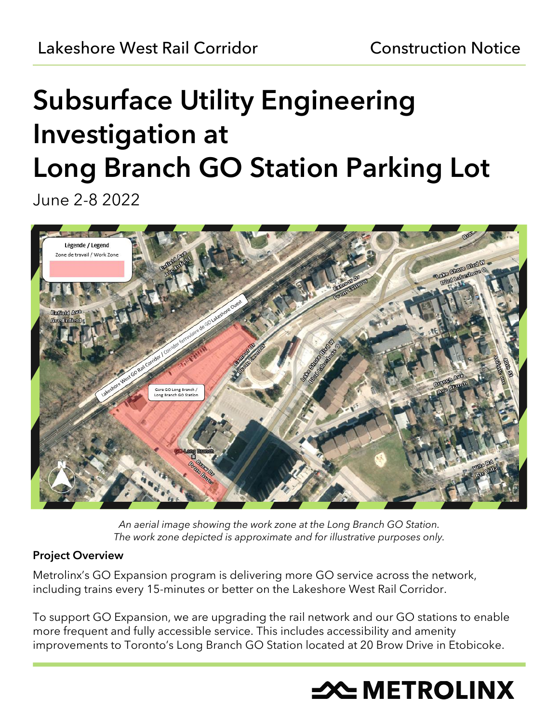# Subsurface Utility Engineering Investigation at Long Branch GO Station Parking Lot

June 2-8 2022



*An aerial image showing the work zone at the Long Branch GO Station. The work zone depicted is approximate and for illustrative purposes only.*

## Project Overview

Metrolinx's GO Expansion program is delivering more GO service across the network, including trains every 15-minutes or better on the Lakeshore West Rail Corridor.

To support GO Expansion, we are upgrading the rail network and our GO stations to enable more frequent and fully accessible service. This includes accessibility and amenity improvements to Toronto's Long Branch GO Station located at 20 Brow Drive in Etobicoke.

# **X METROLINX**